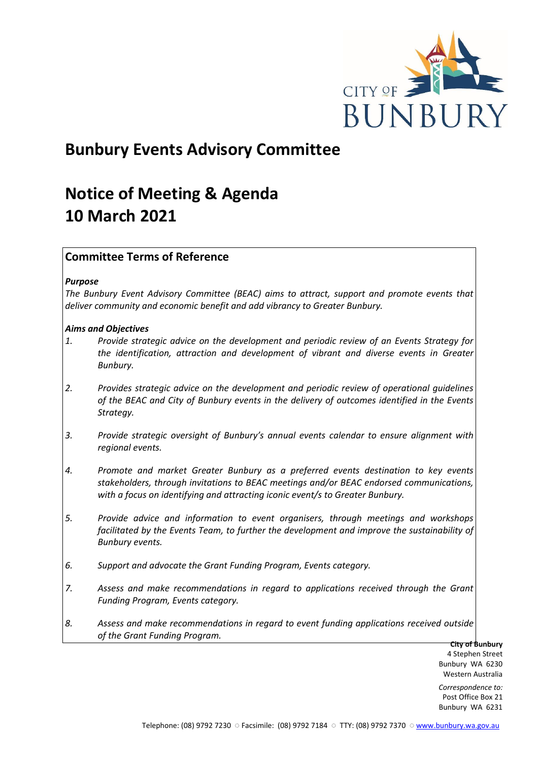

# **Bunbury Events Advisory Committee**

# **Notice of Meeting & Agenda 10 March 2021**

# **Committee Terms of Reference**

## *Purpose*

*The Bunbury Event Advisory Committee (BEAC) aims to attract, support and promote events that deliver community and economic benefit and add vibrancy to Greater Bunbury.*

## *Aims and Objectives*

- *1. Provide strategic advice on the development and periodic review of an Events Strategy for the identification, attraction and development of vibrant and diverse events in Greater Bunbury.*
- *2. Provides strategic advice on the development and periodic review of operational guidelines of the BEAC and City of Bunbury events in the delivery of outcomes identified in the Events Strategy.*
- *3. Provide strategic oversight of Bunbury's annual events calendar to ensure alignment with regional events.*
- *4. Promote and market Greater Bunbury as a preferred events destination to key events stakeholders, through invitations to BEAC meetings and/or BEAC endorsed communications, with a focus on identifying and attracting iconic event/s to Greater Bunbury.*
- *5. Provide advice and information to event organisers, through meetings and workshops*  facilitated by the Events Team, to further the development and improve the sustainability of *Bunbury events.*
- *6. Support and advocate the Grant Funding Program, Events category.*
- *7. Assess and make recommendations in regard to applications received through the Grant Funding Program, Events category.*
- *8. Assess and make recommendations in regard to event funding applications received outside of the Grant Funding Program.*

**City of Bunbury** 4 Stephen Street Bunbury WA 6230 Western Australia

*Correspondence to:* Post Office Box 21 Bunbury WA 6231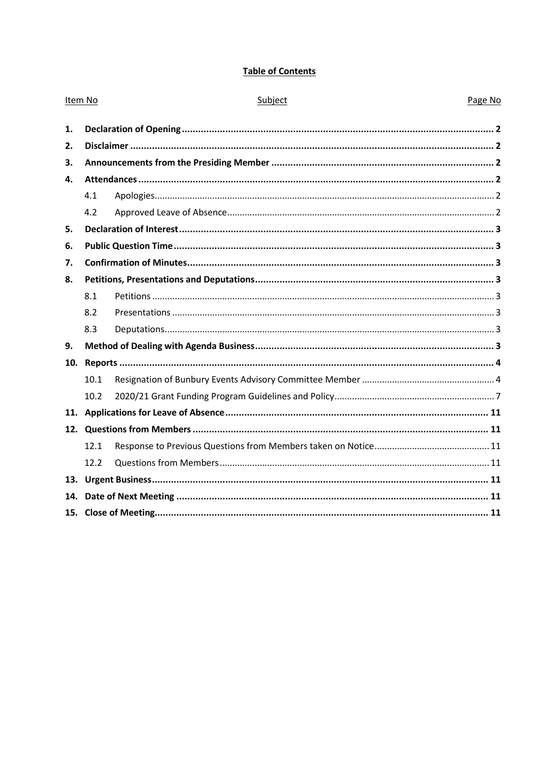# **Table of Contents**

| Item No |      | Subject | Page No |
|---------|------|---------|---------|
| 1.      |      |         |         |
| 2.      |      |         |         |
| 3.      |      |         |         |
| 4.      |      |         |         |
|         | 4.1  |         |         |
|         | 4.2  |         |         |
| 5.      |      |         |         |
| 6.      |      |         |         |
| 7.      |      |         |         |
| 8.      |      |         |         |
|         | 8.1  |         |         |
|         | 8.2  |         |         |
|         | 8.3  |         |         |
| 9.      |      |         |         |
| 10.     |      |         |         |
|         | 10.1 |         |         |
|         | 10.2 |         |         |
| 11.     |      |         |         |
|         |      |         |         |
|         | 12.1 |         |         |
|         | 12.2 |         |         |
|         |      |         |         |
| 14.     |      |         |         |
|         |      |         |         |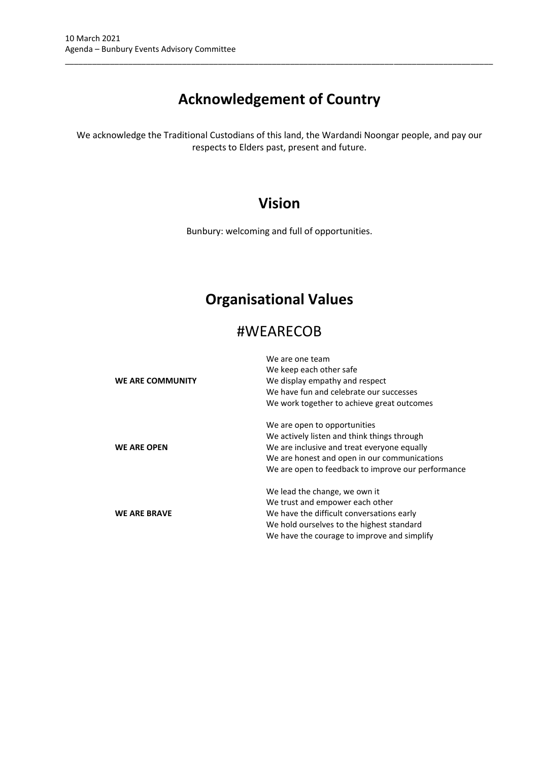# **Acknowledgement of Country**

\_\_\_\_\_\_\_\_\_\_\_\_\_\_\_\_\_\_\_\_\_\_\_\_\_\_\_\_\_\_\_\_\_\_\_\_\_\_\_\_\_\_\_\_\_\_\_\_\_\_\_\_\_\_\_\_\_\_\_\_\_\_\_\_\_\_\_\_\_\_\_\_\_\_\_\_\_\_\_\_\_\_\_\_\_\_\_\_\_\_\_\_\_\_\_

We acknowledge the Traditional Custodians of this land, the Wardandi Noongar people, and pay our respects to Elders past, present and future.

# **Vision**

Bunbury: welcoming and full of opportunities.

# **Organisational Values**

# #WEARECOB

| <b>WE ARE COMMUNITY</b> | We are one team<br>We keep each other safe<br>We display empathy and respect<br>We have fun and celebrate our successes<br>We work together to achieve great outcomes                                                            |  |  |
|-------------------------|----------------------------------------------------------------------------------------------------------------------------------------------------------------------------------------------------------------------------------|--|--|
| <b>WE ARE OPEN</b>      | We are open to opportunities<br>We actively listen and think things through<br>We are inclusive and treat everyone equally<br>We are honest and open in our communications<br>We are open to feedback to improve our performance |  |  |
| <b>WE ARE BRAVE</b>     | We lead the change, we own it<br>We trust and empower each other<br>We have the difficult conversations early<br>We hold ourselves to the highest standard<br>We have the courage to improve and simplify                        |  |  |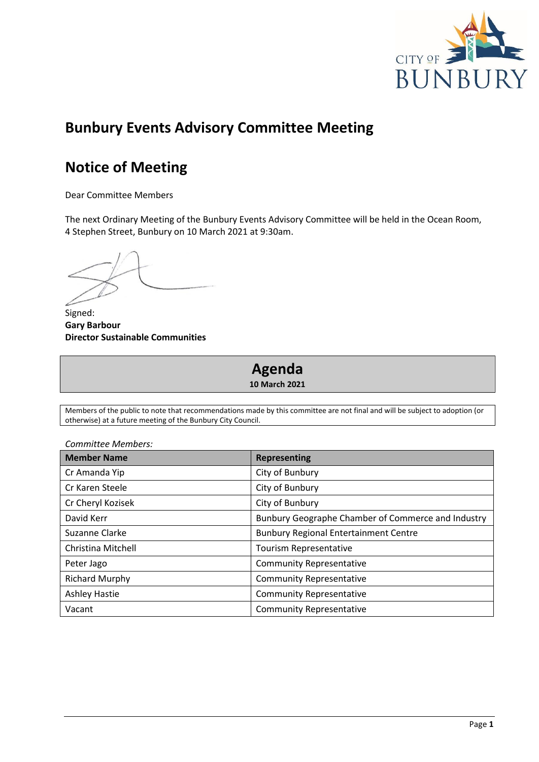

# **Bunbury Events Advisory Committee Meeting**

# **Notice of Meeting**

Dear Committee Members

The next Ordinary Meeting of the Bunbury Events Advisory Committee will be held in the Ocean Room, 4 Stephen Street, Bunbury on 10 March 2021 at 9:30am.

Signed: **Gary Barbour Director Sustainable Communities**

# **Agenda 10 March 2021**

Members of the public to note that recommendations made by this committee are not final and will be subject to adoption (or otherwise) at a future meeting of the Bunbury City Council.

| <b>Member Name</b>    | <b>Representing</b>                                |  |
|-----------------------|----------------------------------------------------|--|
| Cr Amanda Yip         | City of Bunbury                                    |  |
| Cr Karen Steele       | City of Bunbury                                    |  |
| Cr Cheryl Kozisek     | City of Bunbury                                    |  |
| David Kerr            | Bunbury Geographe Chamber of Commerce and Industry |  |
| Suzanne Clarke        | <b>Bunbury Regional Entertainment Centre</b>       |  |
| Christina Mitchell    | Tourism Representative                             |  |
| Peter Jago            | <b>Community Representative</b>                    |  |
| <b>Richard Murphy</b> | <b>Community Representative</b>                    |  |
| <b>Ashley Hastie</b>  | <b>Community Representative</b>                    |  |
| Vacant                | <b>Community Representative</b>                    |  |

# *Committee Members:*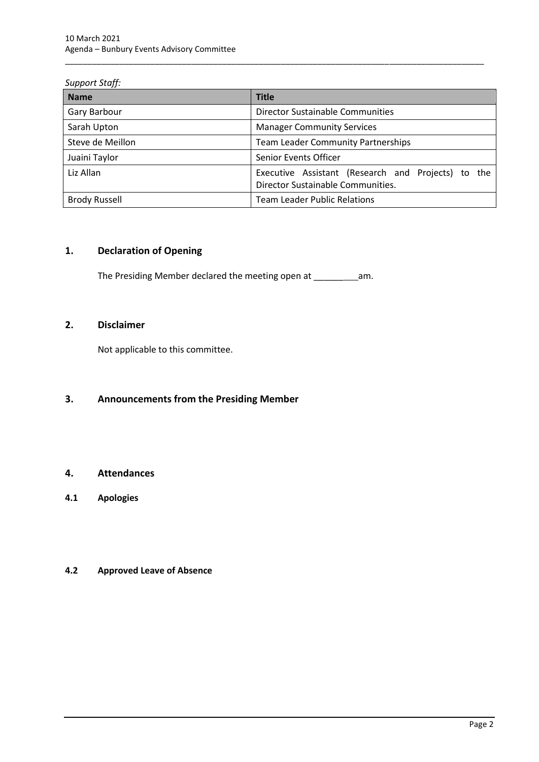## *Support Staff:*

| <b>Name</b>          | <b>Title</b>                                                                            |
|----------------------|-----------------------------------------------------------------------------------------|
| Gary Barbour         | Director Sustainable Communities                                                        |
| Sarah Upton          | <b>Manager Community Services</b>                                                       |
| Steve de Meillon     | <b>Team Leader Community Partnerships</b>                                               |
| Juaini Taylor        | Senior Events Officer                                                                   |
| Liz Allan            | Executive Assistant (Research and Projects) to the<br>Director Sustainable Communities. |
| <b>Brody Russell</b> | <b>Team Leader Public Relations</b>                                                     |

\_\_\_\_\_\_\_\_\_\_\_\_\_\_\_\_\_\_\_\_\_\_\_\_\_\_\_\_\_\_\_\_\_\_\_\_\_\_\_\_\_\_\_\_\_\_\_\_\_\_\_\_\_\_\_\_\_\_\_\_\_\_\_\_\_\_\_\_\_\_\_\_\_\_\_\_\_\_\_\_\_\_\_\_\_\_\_\_\_\_\_\_\_

# <span id="page-4-0"></span>**1. Declaration of Opening**

The Presiding Member declared the meeting open at \_\_\_\_\_\_\_\_\_\_\_\_\_\_\_\_\_\_\_\_\_\_\_\_\_\_\_\_\_\_\_

# <span id="page-4-1"></span>**2. Disclaimer**

Not applicable to this committee.

# <span id="page-4-2"></span>**3. Announcements from the Presiding Member**

# <span id="page-4-3"></span>**4. Attendances**

<span id="page-4-4"></span>**4.1 Apologies**

# <span id="page-4-5"></span>**4.2 Approved Leave of Absence**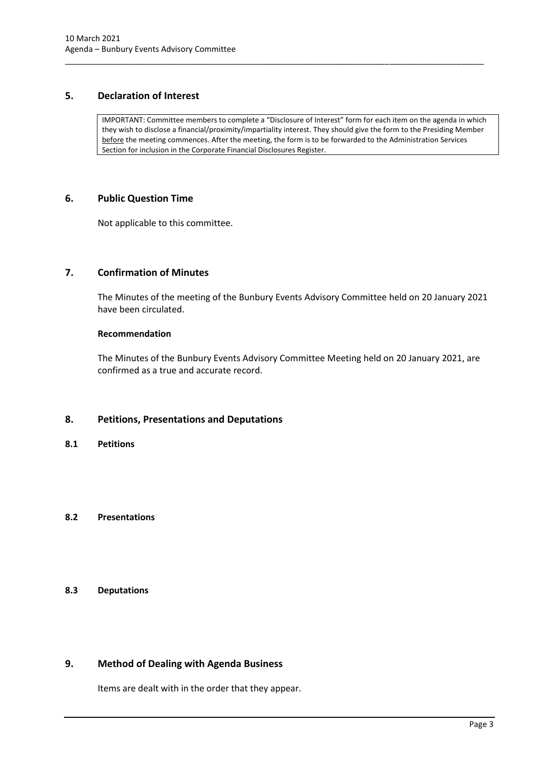# <span id="page-5-0"></span>**5. Declaration of Interest**

IMPORTANT: Committee members to complete a "Disclosure of Interest" form for each item on the agenda in which they wish to disclose a financial/proximity/impartiality interest. They should give the form to the Presiding Member before the meeting commences. After the meeting, the form is to be forwarded to the Administration Services Section for inclusion in the Corporate Financial Disclosures Register.

\_\_\_\_\_\_\_\_\_\_\_\_\_\_\_\_\_\_\_\_\_\_\_\_\_\_\_\_\_\_\_\_\_\_\_\_\_\_\_\_\_\_\_\_\_\_\_\_\_\_\_\_\_\_\_\_\_\_\_\_\_\_\_\_\_\_\_\_\_\_\_\_\_\_\_\_\_\_\_\_\_\_\_\_\_\_\_\_\_\_\_\_\_

## <span id="page-5-1"></span>**6. Public Question Time**

Not applicable to this committee.

# <span id="page-5-2"></span>**7. Confirmation of Minutes**

The Minutes of the meeting of the Bunbury Events Advisory Committee held on 20 January 2021 have been circulated.

#### **Recommendation**

The Minutes of the Bunbury Events Advisory Committee Meeting held on 20 January 2021, are confirmed as a true and accurate record.

#### <span id="page-5-3"></span>**8. Petitions, Presentations and Deputations**

<span id="page-5-4"></span>**8.1 Petitions**

## <span id="page-5-5"></span>**8.2 Presentations**

# <span id="page-5-6"></span>**8.3 Deputations**

# <span id="page-5-7"></span>**9. Method of Dealing with Agenda Business**

Items are dealt with in the order that they appear.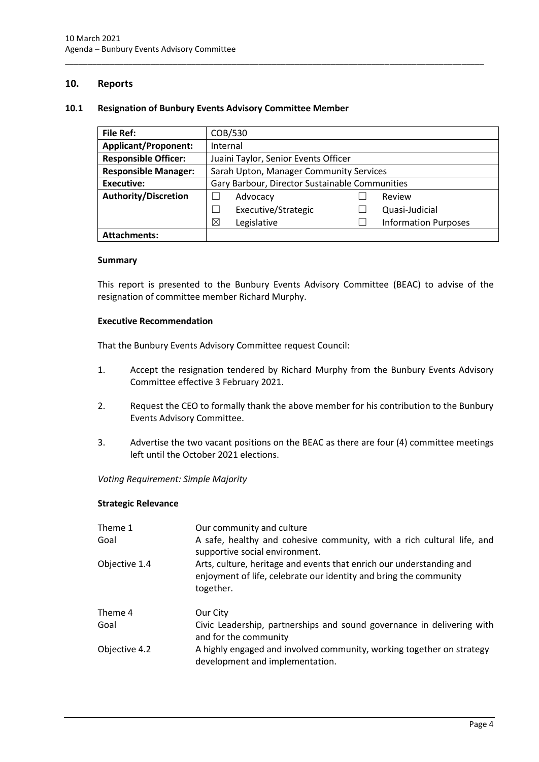## <span id="page-6-0"></span>**10. Reports**

#### <span id="page-6-1"></span>**10.1 Resignation of Bunbury Events Advisory Committee Member**

| <b>File Ref:</b>            | COB/530                                        |  |                             |  |
|-----------------------------|------------------------------------------------|--|-----------------------------|--|
| <b>Applicant/Proponent:</b> | Internal                                       |  |                             |  |
| <b>Responsible Officer:</b> | Juaini Taylor, Senior Events Officer           |  |                             |  |
| <b>Responsible Manager:</b> | Sarah Upton, Manager Community Services        |  |                             |  |
| <b>Executive:</b>           | Gary Barbour, Director Sustainable Communities |  |                             |  |
| <b>Authority/Discretion</b> | Advocacy                                       |  | Review                      |  |
|                             | Executive/Strategic                            |  | Quasi-Judicial              |  |
|                             | ⊠<br>Legislative                               |  | <b>Information Purposes</b> |  |
| <b>Attachments:</b>         |                                                |  |                             |  |

\_\_\_\_\_\_\_\_\_\_\_\_\_\_\_\_\_\_\_\_\_\_\_\_\_\_\_\_\_\_\_\_\_\_\_\_\_\_\_\_\_\_\_\_\_\_\_\_\_\_\_\_\_\_\_\_\_\_\_\_\_\_\_\_\_\_\_\_\_\_\_\_\_\_\_\_\_\_\_\_\_\_\_\_\_\_\_\_\_\_\_\_\_

#### **Summary**

This report is presented to the Bunbury Events Advisory Committee (BEAC) to advise of the resignation of committee member Richard Murphy.

#### **Executive Recommendation**

That the Bunbury Events Advisory Committee request Council:

- 1. Accept the resignation tendered by Richard Murphy from the Bunbury Events Advisory Committee effective 3 February 2021.
- 2. Request the CEO to formally thank the above member for his contribution to the Bunbury Events Advisory Committee.
- 3. Advertise the two vacant positions on the BEAC as there are four (4) committee meetings left until the October 2021 elections.

*Voting Requirement: Simple Majority* 

#### **Strategic Relevance**

| Theme 1<br>Goal | Our community and culture<br>A safe, healthy and cohesive community, with a rich cultural life, and<br>supportive social environment.                  |
|-----------------|--------------------------------------------------------------------------------------------------------------------------------------------------------|
| Objective 1.4   | Arts, culture, heritage and events that enrich our understanding and<br>enjoyment of life, celebrate our identity and bring the community<br>together. |
| Theme 4         | Our City                                                                                                                                               |
| Goal            | Civic Leadership, partnerships and sound governance in delivering with<br>and for the community                                                        |
| Objective 4.2   | A highly engaged and involved community, working together on strategy<br>development and implementation.                                               |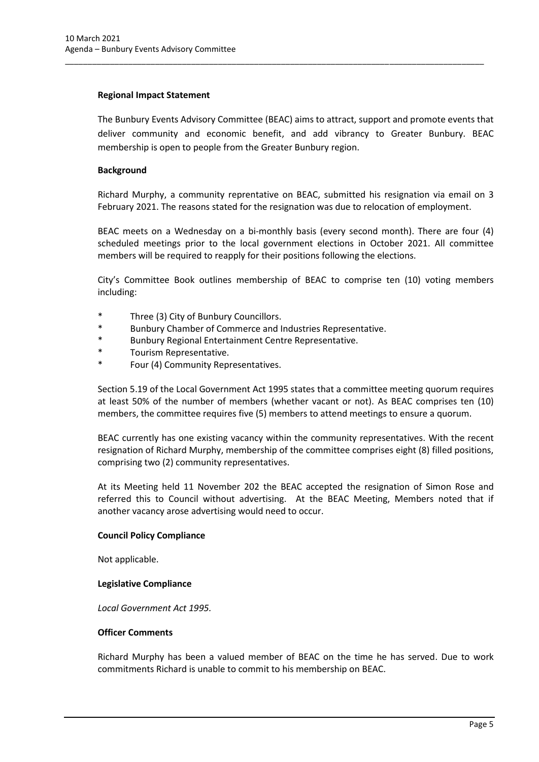#### **Regional Impact Statement**

The Bunbury Events Advisory Committee (BEAC) aims to attract, support and promote events that deliver community and economic benefit, and add vibrancy to Greater Bunbury. BEAC membership is open to people from the Greater Bunbury region.

\_\_\_\_\_\_\_\_\_\_\_\_\_\_\_\_\_\_\_\_\_\_\_\_\_\_\_\_\_\_\_\_\_\_\_\_\_\_\_\_\_\_\_\_\_\_\_\_\_\_\_\_\_\_\_\_\_\_\_\_\_\_\_\_\_\_\_\_\_\_\_\_\_\_\_\_\_\_\_\_\_\_\_\_\_\_\_\_\_\_\_\_\_

# **Background**

Richard Murphy, a community reprentative on BEAC, submitted his resignation via email on 3 February 2021. The reasons stated for the resignation was due to relocation of employment.

BEAC meets on a Wednesday on a bi-monthly basis (every second month). There are four (4) scheduled meetings prior to the local government elections in October 2021. All committee members will be required to reapply for their positions following the elections.

City's Committee Book outlines membership of BEAC to comprise ten (10) voting members including:

- \* Three (3) City of Bunbury Councillors.
- \* Bunbury Chamber of Commerce and Industries Representative.
- \* Bunbury Regional Entertainment Centre Representative.
- \* Tourism Representative.
- Four (4) Community Representatives.

Section 5.19 of the Local Government Act 1995 states that a committee meeting quorum requires at least 50% of the number of members (whether vacant or not). As BEAC comprises ten (10) members, the committee requires five (5) members to attend meetings to ensure a quorum.

BEAC currently has one existing vacancy within the community representatives. With the recent resignation of Richard Murphy, membership of the committee comprises eight (8) filled positions, comprising two (2) community representatives.

At its Meeting held 11 November 202 the BEAC accepted the resignation of Simon Rose and referred this to Council without advertising. At the BEAC Meeting, Members noted that if another vacancy arose advertising would need to occur.

#### **Council Policy Compliance**

Not applicable.

#### **Legislative Compliance**

*Local Government Act 1995.*

#### **Officer Comments**

Richard Murphy has been a valued member of BEAC on the time he has served. Due to work commitments Richard is unable to commit to his membership on BEAC.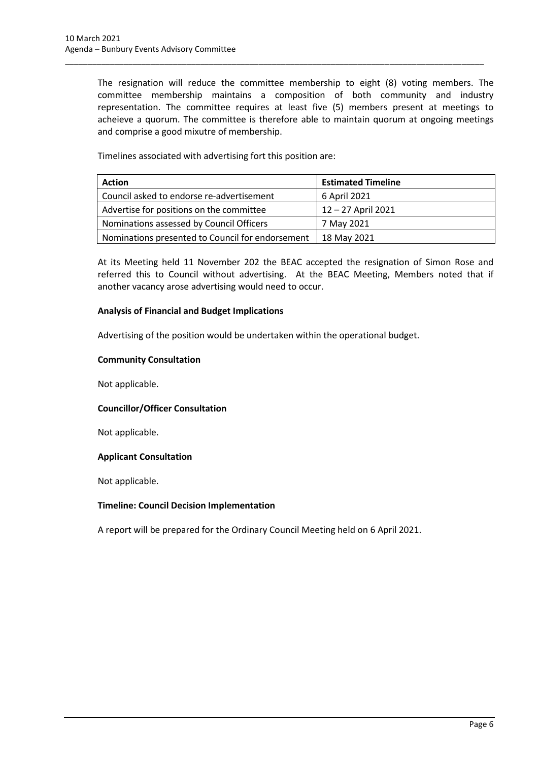The resignation will reduce the committee membership to eight (8) voting members. The committee membership maintains a composition of both community and industry representation. The committee requires at least five (5) members present at meetings to acheieve a quorum. The committee is therefore able to maintain quorum at ongoing meetings and comprise a good mixutre of membership.

\_\_\_\_\_\_\_\_\_\_\_\_\_\_\_\_\_\_\_\_\_\_\_\_\_\_\_\_\_\_\_\_\_\_\_\_\_\_\_\_\_\_\_\_\_\_\_\_\_\_\_\_\_\_\_\_\_\_\_\_\_\_\_\_\_\_\_\_\_\_\_\_\_\_\_\_\_\_\_\_\_\_\_\_\_\_\_\_\_\_\_\_\_

Timelines associated with advertising fort this position are:

| <b>Action</b>                                    | <b>Estimated Timeline</b> |
|--------------------------------------------------|---------------------------|
| Council asked to endorse re-advertisement        | 6 April 2021              |
| Advertise for positions on the committee         | 12-27 April 2021          |
| Nominations assessed by Council Officers         | 7 May 2021                |
| Nominations presented to Council for endorsement | 18 May 2021               |

At its Meeting held 11 November 202 the BEAC accepted the resignation of Simon Rose and referred this to Council without advertising. At the BEAC Meeting, Members noted that if another vacancy arose advertising would need to occur.

## **Analysis of Financial and Budget Implications**

Advertising of the position would be undertaken within the operational budget.

## **Community Consultation**

Not applicable.

# **Councillor/Officer Consultation**

Not applicable.

#### **Applicant Consultation**

Not applicable.

#### **Timeline: Council Decision Implementation**

A report will be prepared for the Ordinary Council Meeting held on 6 April 2021.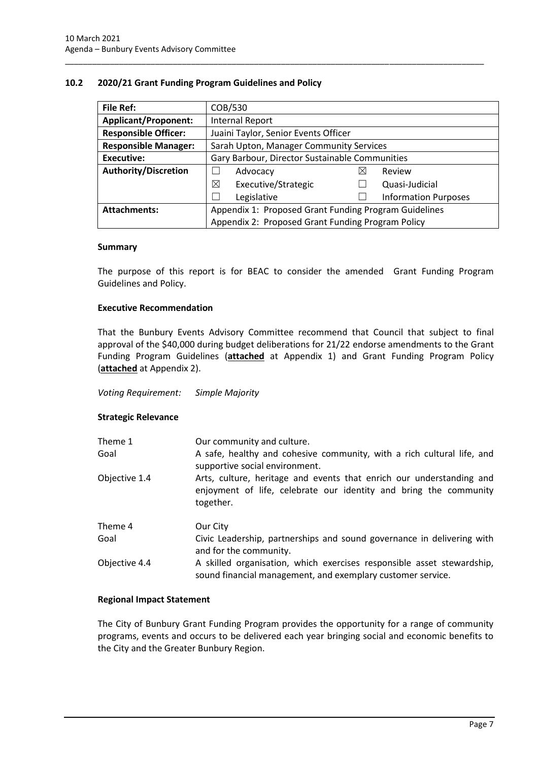### <span id="page-9-0"></span>**10.2 2020/21 Grant Funding Program Guidelines and Policy**

| <b>File Ref:</b>            | COB/530                                               |   |                             |  |
|-----------------------------|-------------------------------------------------------|---|-----------------------------|--|
| <b>Applicant/Proponent:</b> | <b>Internal Report</b>                                |   |                             |  |
| <b>Responsible Officer:</b> | Juaini Taylor, Senior Events Officer                  |   |                             |  |
| <b>Responsible Manager:</b> | Sarah Upton, Manager Community Services               |   |                             |  |
| <b>Executive:</b>           | Gary Barbour, Director Sustainable Communities        |   |                             |  |
| <b>Authority/Discretion</b> | Advocacy                                              | ⋉ | Review                      |  |
|                             | ⊠<br>Executive/Strategic                              |   | Quasi-Judicial              |  |
|                             | Legislative                                           |   | <b>Information Purposes</b> |  |
| <b>Attachments:</b>         | Appendix 1: Proposed Grant Funding Program Guidelines |   |                             |  |
|                             | Appendix 2: Proposed Grant Funding Program Policy     |   |                             |  |

\_\_\_\_\_\_\_\_\_\_\_\_\_\_\_\_\_\_\_\_\_\_\_\_\_\_\_\_\_\_\_\_\_\_\_\_\_\_\_\_\_\_\_\_\_\_\_\_\_\_\_\_\_\_\_\_\_\_\_\_\_\_\_\_\_\_\_\_\_\_\_\_\_\_\_\_\_\_\_\_\_\_\_\_\_\_\_\_\_\_\_\_\_

#### **Summary**

The purpose of this report is for BEAC to consider the amended Grant Funding Program Guidelines and Policy.

#### **Executive Recommendation**

That the Bunbury Events Advisory Committee recommend that Council that subject to final approval of the \$40,000 during budget deliberations for 21/22 endorse amendments to the Grant Funding Program Guidelines (**attached** at Appendix 1) and Grant Funding Program Policy (**attached** at Appendix 2).

#### *Voting Requirement: Simple Majority*

#### **Strategic Relevance**

| Theme 1<br>Goal | Our community and culture.<br>A safe, healthy and cohesive community, with a rich cultural life, and<br>supportive social environment.                 |  |  |
|-----------------|--------------------------------------------------------------------------------------------------------------------------------------------------------|--|--|
| Objective 1.4   | Arts, culture, heritage and events that enrich our understanding and<br>enjoyment of life, celebrate our identity and bring the community<br>together. |  |  |
| Theme 4         | Our City                                                                                                                                               |  |  |
| Goal            | Civic Leadership, partnerships and sound governance in delivering with<br>and for the community.                                                       |  |  |
| Objective 4.4   | A skilled organisation, which exercises responsible asset stewardship,<br>sound financial management, and exemplary customer service.                  |  |  |

#### **Regional Impact Statement**

The City of Bunbury Grant Funding Program provides the opportunity for a range of community programs, events and occurs to be delivered each year bringing social and economic benefits to the City and the Greater Bunbury Region.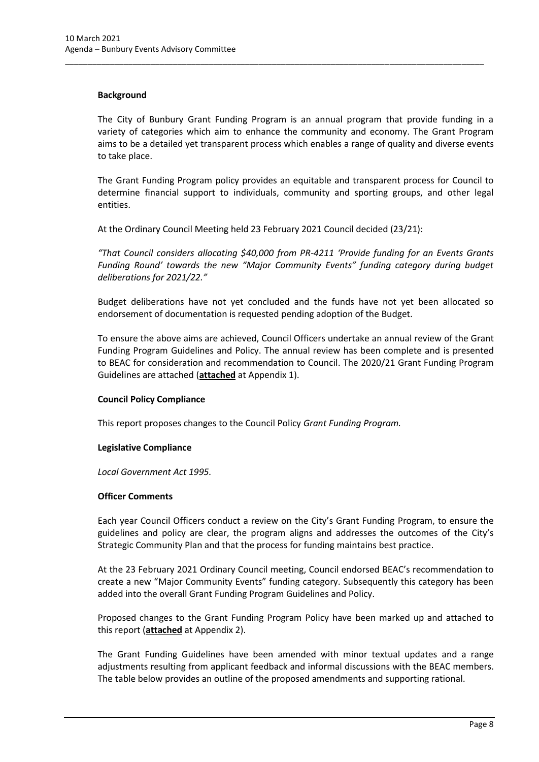#### **Background**

The City of Bunbury Grant Funding Program is an annual program that provide funding in a variety of categories which aim to enhance the community and economy. The Grant Program aims to be a detailed yet transparent process which enables a range of quality and diverse events to take place.

\_\_\_\_\_\_\_\_\_\_\_\_\_\_\_\_\_\_\_\_\_\_\_\_\_\_\_\_\_\_\_\_\_\_\_\_\_\_\_\_\_\_\_\_\_\_\_\_\_\_\_\_\_\_\_\_\_\_\_\_\_\_\_\_\_\_\_\_\_\_\_\_\_\_\_\_\_\_\_\_\_\_\_\_\_\_\_\_\_\_\_\_\_

The Grant Funding Program policy provides an equitable and transparent process for Council to determine financial support to individuals, community and sporting groups, and other legal entities.

At the Ordinary Council Meeting held 23 February 2021 Council decided (23/21):

*"That Council considers allocating \$40,000 from PR-4211 'Provide funding for an Events Grants Funding Round' towards the new "Major Community Events" funding category during budget deliberations for 2021/22."*

Budget deliberations have not yet concluded and the funds have not yet been allocated so endorsement of documentation is requested pending adoption of the Budget.

To ensure the above aims are achieved, Council Officers undertake an annual review of the Grant Funding Program Guidelines and Policy. The annual review has been complete and is presented to BEAC for consideration and recommendation to Council. The 2020/21 Grant Funding Program Guidelines are attached (**attached** at Appendix 1).

#### **Council Policy Compliance**

This report proposes changes to the Council Policy *Grant Funding Program.*

#### **Legislative Compliance**

*Local Government Act 1995.*

#### **Officer Comments**

Each year Council Officers conduct a review on the City's Grant Funding Program, to ensure the guidelines and policy are clear, the program aligns and addresses the outcomes of the City's Strategic Community Plan and that the process for funding maintains best practice.

At the 23 February 2021 Ordinary Council meeting, Council endorsed BEAC's recommendation to create a new "Major Community Events" funding category. Subsequently this category has been added into the overall Grant Funding Program Guidelines and Policy.

Proposed changes to the Grant Funding Program Policy have been marked up and attached to this report (**attached** at Appendix 2).

The Grant Funding Guidelines have been amended with minor textual updates and a range adjustments resulting from applicant feedback and informal discussions with the BEAC members. The table below provides an outline of the proposed amendments and supporting rational.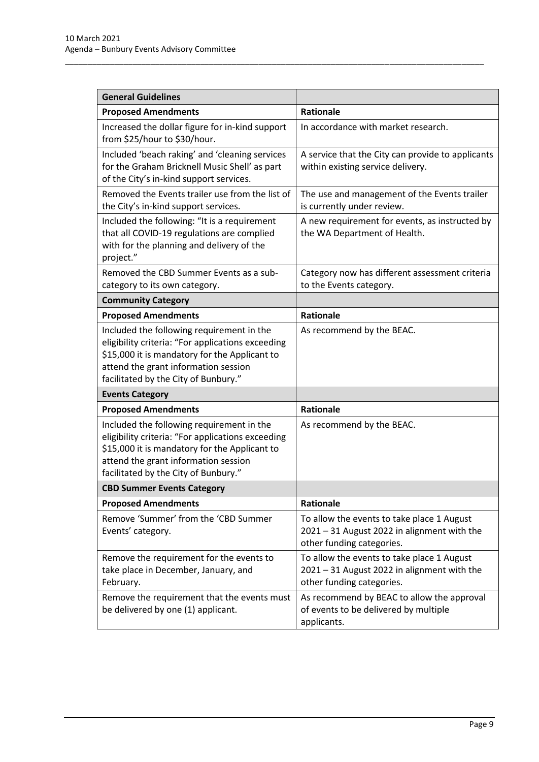| <b>General Guidelines</b>                                                                                                                                                                                                       |                                                                                                                        |  |
|---------------------------------------------------------------------------------------------------------------------------------------------------------------------------------------------------------------------------------|------------------------------------------------------------------------------------------------------------------------|--|
| <b>Proposed Amendments</b>                                                                                                                                                                                                      | <b>Rationale</b>                                                                                                       |  |
| Increased the dollar figure for in-kind support<br>from \$25/hour to \$30/hour.                                                                                                                                                 | In accordance with market research.                                                                                    |  |
| Included 'beach raking' and 'cleaning services<br>for the Graham Bricknell Music Shell' as part<br>of the City's in-kind support services.                                                                                      | A service that the City can provide to applicants<br>within existing service delivery.                                 |  |
| Removed the Events trailer use from the list of<br>the City's in-kind support services.                                                                                                                                         | The use and management of the Events trailer<br>is currently under review.                                             |  |
| Included the following: "It is a requirement<br>that all COVID-19 regulations are complied<br>with for the planning and delivery of the<br>project."                                                                            | A new requirement for events, as instructed by<br>the WA Department of Health.                                         |  |
| Removed the CBD Summer Events as a sub-<br>category to its own category.                                                                                                                                                        | Category now has different assessment criteria<br>to the Events category.                                              |  |
| <b>Community Category</b>                                                                                                                                                                                                       |                                                                                                                        |  |
| <b>Proposed Amendments</b>                                                                                                                                                                                                      | <b>Rationale</b>                                                                                                       |  |
| Included the following requirement in the<br>eligibility criteria: "For applications exceeding<br>\$15,000 it is mandatory for the Applicant to<br>attend the grant information session<br>facilitated by the City of Bunbury." | As recommend by the BEAC.                                                                                              |  |
| <b>Events Category</b>                                                                                                                                                                                                          |                                                                                                                        |  |
| <b>Proposed Amendments</b>                                                                                                                                                                                                      | <b>Rationale</b>                                                                                                       |  |
| Included the following requirement in the<br>eligibility criteria: "For applications exceeding<br>\$15,000 it is mandatory for the Applicant to<br>attend the grant information session<br>facilitated by the City of Bunbury." | As recommend by the BEAC.                                                                                              |  |
| <b>CBD Summer Events Category</b>                                                                                                                                                                                               |                                                                                                                        |  |
| <b>Proposed Amendments</b>                                                                                                                                                                                                      | <b>Rationale</b>                                                                                                       |  |
| Remove 'Summer' from the 'CBD Summer<br>Events' category.                                                                                                                                                                       | To allow the events to take place 1 August<br>2021 - 31 August 2022 in alignment with the<br>other funding categories. |  |
| Remove the requirement for the events to<br>take place in December, January, and<br>February.                                                                                                                                   | To allow the events to take place 1 August<br>2021 - 31 August 2022 in alignment with the<br>other funding categories. |  |
| Remove the requirement that the events must<br>be delivered by one (1) applicant.                                                                                                                                               | As recommend by BEAC to allow the approval<br>of events to be delivered by multiple<br>applicants.                     |  |

\_\_\_\_\_\_\_\_\_\_\_\_\_\_\_\_\_\_\_\_\_\_\_\_\_\_\_\_\_\_\_\_\_\_\_\_\_\_\_\_\_\_\_\_\_\_\_\_\_\_\_\_\_\_\_\_\_\_\_\_\_\_\_\_\_\_\_\_\_\_\_\_\_\_\_\_\_\_\_\_\_\_\_\_\_\_\_\_\_\_\_\_\_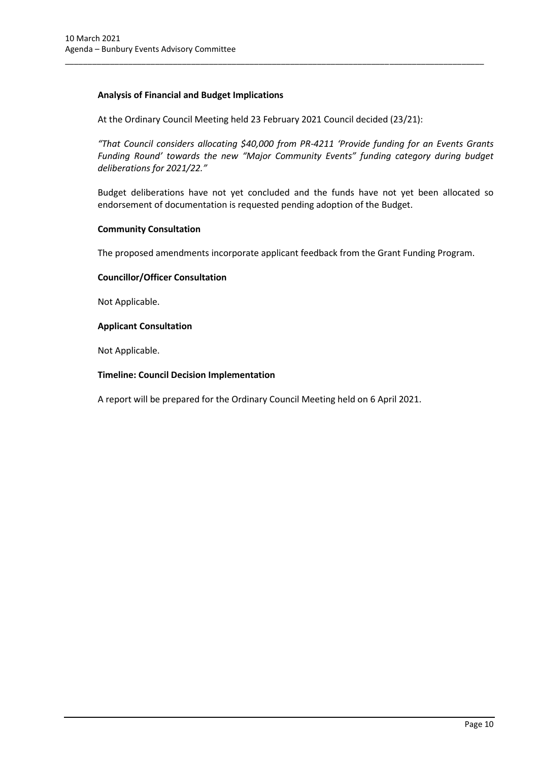# **Analysis of Financial and Budget Implications**

At the Ordinary Council Meeting held 23 February 2021 Council decided (23/21):

\_\_\_\_\_\_\_\_\_\_\_\_\_\_\_\_\_\_\_\_\_\_\_\_\_\_\_\_\_\_\_\_\_\_\_\_\_\_\_\_\_\_\_\_\_\_\_\_\_\_\_\_\_\_\_\_\_\_\_\_\_\_\_\_\_\_\_\_\_\_\_\_\_\_\_\_\_\_\_\_\_\_\_\_\_\_\_\_\_\_\_\_\_

*"That Council considers allocating \$40,000 from PR-4211 'Provide funding for an Events Grants Funding Round' towards the new "Major Community Events" funding category during budget deliberations for 2021/22."*

Budget deliberations have not yet concluded and the funds have not yet been allocated so endorsement of documentation is requested pending adoption of the Budget.

#### **Community Consultation**

The proposed amendments incorporate applicant feedback from the Grant Funding Program.

## **Councillor/Officer Consultation**

Not Applicable.

## **Applicant Consultation**

Not Applicable.

## **Timeline: Council Decision Implementation**

A report will be prepared for the Ordinary Council Meeting held on 6 April 2021.